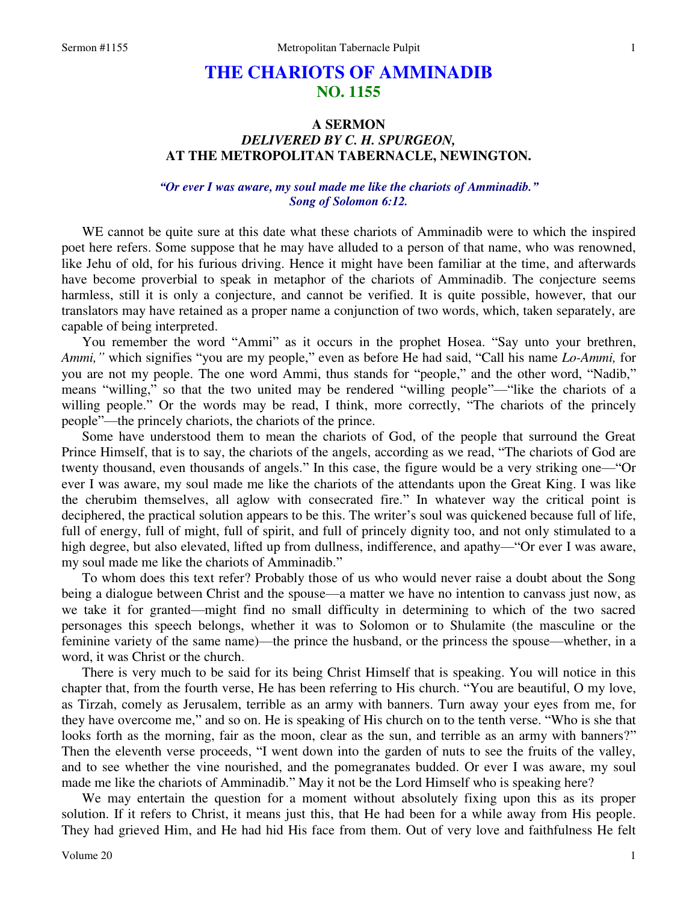# **THE CHARIOTS OF AMMINADIB NO. 1155**

## **A SERMON**  *DELIVERED BY C. H. SPURGEON,*  **AT THE METROPOLITAN TABERNACLE, NEWINGTON.**

#### *"Or ever I was aware, my soul made me like the chariots of Amminadib." Song of Solomon 6:12.*

WE cannot be quite sure at this date what these chariots of Amminadib were to which the inspired poet here refers. Some suppose that he may have alluded to a person of that name, who was renowned, like Jehu of old, for his furious driving. Hence it might have been familiar at the time, and afterwards have become proverbial to speak in metaphor of the chariots of Amminadib. The conjecture seems harmless, still it is only a conjecture, and cannot be verified. It is quite possible, however, that our translators may have retained as a proper name a conjunction of two words, which, taken separately, are capable of being interpreted.

You remember the word "Ammi" as it occurs in the prophet Hosea. "Say unto your brethren, *Ammi,"* which signifies "you are my people," even as before He had said, "Call his name *Lo-Ammi,* for you are not my people. The one word Ammi, thus stands for "people," and the other word, "Nadib," means "willing," so that the two united may be rendered "willing people"—"like the chariots of a willing people." Or the words may be read, I think, more correctly, "The chariots of the princely people"—the princely chariots, the chariots of the prince.

Some have understood them to mean the chariots of God, of the people that surround the Great Prince Himself, that is to say, the chariots of the angels, according as we read, "The chariots of God are twenty thousand, even thousands of angels." In this case, the figure would be a very striking one—"Or ever I was aware, my soul made me like the chariots of the attendants upon the Great King. I was like the cherubim themselves, all aglow with consecrated fire." In whatever way the critical point is deciphered, the practical solution appears to be this. The writer's soul was quickened because full of life, full of energy, full of might, full of spirit, and full of princely dignity too, and not only stimulated to a high degree, but also elevated, lifted up from dullness, indifference, and apathy—"Or ever I was aware, my soul made me like the chariots of Amminadib."

To whom does this text refer? Probably those of us who would never raise a doubt about the Song being a dialogue between Christ and the spouse—a matter we have no intention to canvass just now, as we take it for granted—might find no small difficulty in determining to which of the two sacred personages this speech belongs, whether it was to Solomon or to Shulamite (the masculine or the feminine variety of the same name)—the prince the husband, or the princess the spouse—whether, in a word, it was Christ or the church.

There is very much to be said for its being Christ Himself that is speaking. You will notice in this chapter that, from the fourth verse, He has been referring to His church. "You are beautiful, O my love, as Tirzah, comely as Jerusalem, terrible as an army with banners. Turn away your eyes from me, for they have overcome me," and so on. He is speaking of His church on to the tenth verse. "Who is she that looks forth as the morning, fair as the moon, clear as the sun, and terrible as an army with banners?" Then the eleventh verse proceeds, "I went down into the garden of nuts to see the fruits of the valley, and to see whether the vine nourished, and the pomegranates budded. Or ever I was aware, my soul made me like the chariots of Amminadib." May it not be the Lord Himself who is speaking here?

We may entertain the question for a moment without absolutely fixing upon this as its proper solution. If it refers to Christ, it means just this, that He had been for a while away from His people. They had grieved Him, and He had hid His face from them. Out of very love and faithfulness He felt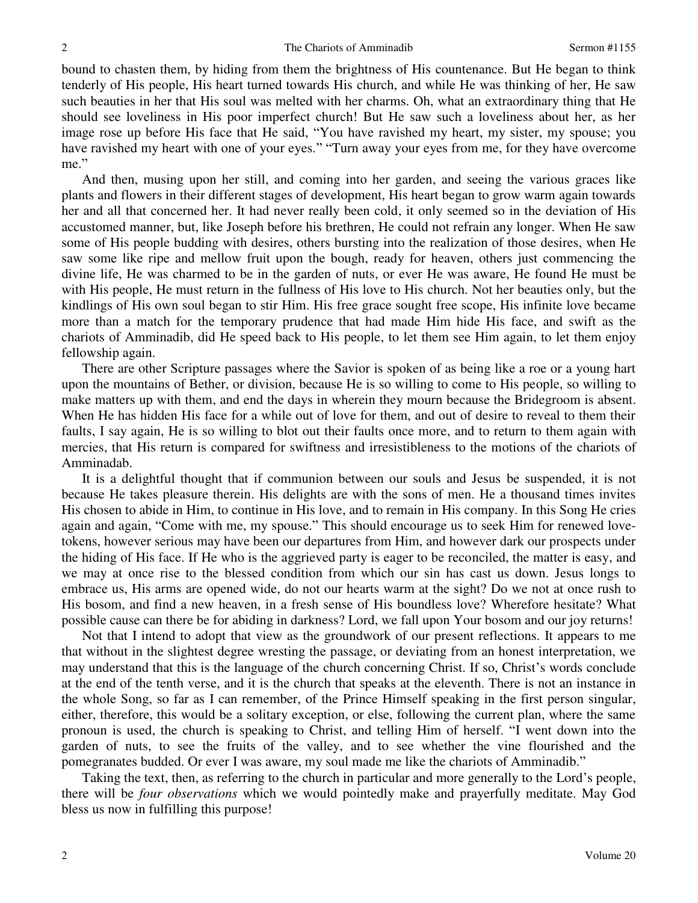bound to chasten them, by hiding from them the brightness of His countenance. But He began to think tenderly of His people, His heart turned towards His church, and while He was thinking of her, He saw such beauties in her that His soul was melted with her charms. Oh, what an extraordinary thing that He should see loveliness in His poor imperfect church! But He saw such a loveliness about her, as her image rose up before His face that He said, "You have ravished my heart, my sister, my spouse; you have ravished my heart with one of your eyes." "Turn away your eyes from me, for they have overcome me."

And then, musing upon her still, and coming into her garden, and seeing the various graces like plants and flowers in their different stages of development, His heart began to grow warm again towards her and all that concerned her. It had never really been cold, it only seemed so in the deviation of His accustomed manner, but, like Joseph before his brethren, He could not refrain any longer. When He saw some of His people budding with desires, others bursting into the realization of those desires, when He saw some like ripe and mellow fruit upon the bough, ready for heaven, others just commencing the divine life, He was charmed to be in the garden of nuts, or ever He was aware, He found He must be with His people, He must return in the fullness of His love to His church. Not her beauties only, but the kindlings of His own soul began to stir Him. His free grace sought free scope, His infinite love became more than a match for the temporary prudence that had made Him hide His face, and swift as the chariots of Amminadib, did He speed back to His people, to let them see Him again, to let them enjoy fellowship again.

There are other Scripture passages where the Savior is spoken of as being like a roe or a young hart upon the mountains of Bether, or division, because He is so willing to come to His people, so willing to make matters up with them, and end the days in wherein they mourn because the Bridegroom is absent. When He has hidden His face for a while out of love for them, and out of desire to reveal to them their faults, I say again, He is so willing to blot out their faults once more, and to return to them again with mercies, that His return is compared for swiftness and irresistibleness to the motions of the chariots of Amminadab.

It is a delightful thought that if communion between our souls and Jesus be suspended, it is not because He takes pleasure therein. His delights are with the sons of men. He a thousand times invites His chosen to abide in Him, to continue in His love, and to remain in His company. In this Song He cries again and again, "Come with me, my spouse." This should encourage us to seek Him for renewed lovetokens, however serious may have been our departures from Him, and however dark our prospects under the hiding of His face. If He who is the aggrieved party is eager to be reconciled, the matter is easy, and we may at once rise to the blessed condition from which our sin has cast us down. Jesus longs to embrace us, His arms are opened wide, do not our hearts warm at the sight? Do we not at once rush to His bosom, and find a new heaven, in a fresh sense of His boundless love? Wherefore hesitate? What possible cause can there be for abiding in darkness? Lord, we fall upon Your bosom and our joy returns!

Not that I intend to adopt that view as the groundwork of our present reflections. It appears to me that without in the slightest degree wresting the passage, or deviating from an honest interpretation, we may understand that this is the language of the church concerning Christ. If so, Christ's words conclude at the end of the tenth verse, and it is the church that speaks at the eleventh. There is not an instance in the whole Song, so far as I can remember, of the Prince Himself speaking in the first person singular, either, therefore, this would be a solitary exception, or else, following the current plan, where the same pronoun is used, the church is speaking to Christ, and telling Him of herself. "I went down into the garden of nuts, to see the fruits of the valley, and to see whether the vine flourished and the pomegranates budded. Or ever I was aware, my soul made me like the chariots of Amminadib."

Taking the text, then, as referring to the church in particular and more generally to the Lord's people, there will be *four observations* which we would pointedly make and prayerfully meditate. May God bless us now in fulfilling this purpose!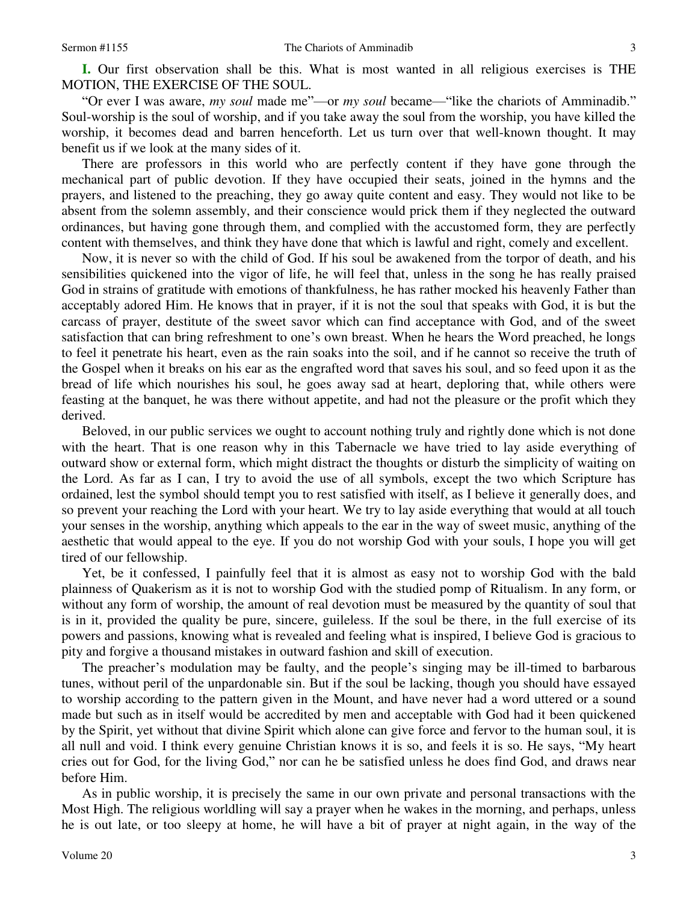**I.** Our first observation shall be this. What is most wanted in all religious exercises is THE MOTION, THE EXERCISE OF THE SOUL.

"Or ever I was aware, *my soul* made me"—or *my soul* became—"like the chariots of Amminadib." Soul-worship is the soul of worship, and if you take away the soul from the worship, you have killed the worship, it becomes dead and barren henceforth. Let us turn over that well-known thought. It may benefit us if we look at the many sides of it.

There are professors in this world who are perfectly content if they have gone through the mechanical part of public devotion. If they have occupied their seats, joined in the hymns and the prayers, and listened to the preaching, they go away quite content and easy. They would not like to be absent from the solemn assembly, and their conscience would prick them if they neglected the outward ordinances, but having gone through them, and complied with the accustomed form, they are perfectly content with themselves, and think they have done that which is lawful and right, comely and excellent.

Now, it is never so with the child of God. If his soul be awakened from the torpor of death, and his sensibilities quickened into the vigor of life, he will feel that, unless in the song he has really praised God in strains of gratitude with emotions of thankfulness, he has rather mocked his heavenly Father than acceptably adored Him. He knows that in prayer, if it is not the soul that speaks with God, it is but the carcass of prayer, destitute of the sweet savor which can find acceptance with God, and of the sweet satisfaction that can bring refreshment to one's own breast. When he hears the Word preached, he longs to feel it penetrate his heart, even as the rain soaks into the soil, and if he cannot so receive the truth of the Gospel when it breaks on his ear as the engrafted word that saves his soul, and so feed upon it as the bread of life which nourishes his soul, he goes away sad at heart, deploring that, while others were feasting at the banquet, he was there without appetite, and had not the pleasure or the profit which they derived.

Beloved, in our public services we ought to account nothing truly and rightly done which is not done with the heart. That is one reason why in this Tabernacle we have tried to lay aside everything of outward show or external form, which might distract the thoughts or disturb the simplicity of waiting on the Lord. As far as I can, I try to avoid the use of all symbols, except the two which Scripture has ordained, lest the symbol should tempt you to rest satisfied with itself, as I believe it generally does, and so prevent your reaching the Lord with your heart. We try to lay aside everything that would at all touch your senses in the worship, anything which appeals to the ear in the way of sweet music, anything of the aesthetic that would appeal to the eye. If you do not worship God with your souls, I hope you will get tired of our fellowship.

Yet, be it confessed, I painfully feel that it is almost as easy not to worship God with the bald plainness of Quakerism as it is not to worship God with the studied pomp of Ritualism. In any form, or without any form of worship, the amount of real devotion must be measured by the quantity of soul that is in it, provided the quality be pure, sincere, guileless. If the soul be there, in the full exercise of its powers and passions, knowing what is revealed and feeling what is inspired, I believe God is gracious to pity and forgive a thousand mistakes in outward fashion and skill of execution.

The preacher's modulation may be faulty, and the people's singing may be ill-timed to barbarous tunes, without peril of the unpardonable sin. But if the soul be lacking, though you should have essayed to worship according to the pattern given in the Mount, and have never had a word uttered or a sound made but such as in itself would be accredited by men and acceptable with God had it been quickened by the Spirit, yet without that divine Spirit which alone can give force and fervor to the human soul, it is all null and void. I think every genuine Christian knows it is so, and feels it is so. He says, "My heart cries out for God, for the living God," nor can he be satisfied unless he does find God, and draws near before Him.

As in public worship, it is precisely the same in our own private and personal transactions with the Most High. The religious worldling will say a prayer when he wakes in the morning, and perhaps, unless he is out late, or too sleepy at home, he will have a bit of prayer at night again, in the way of the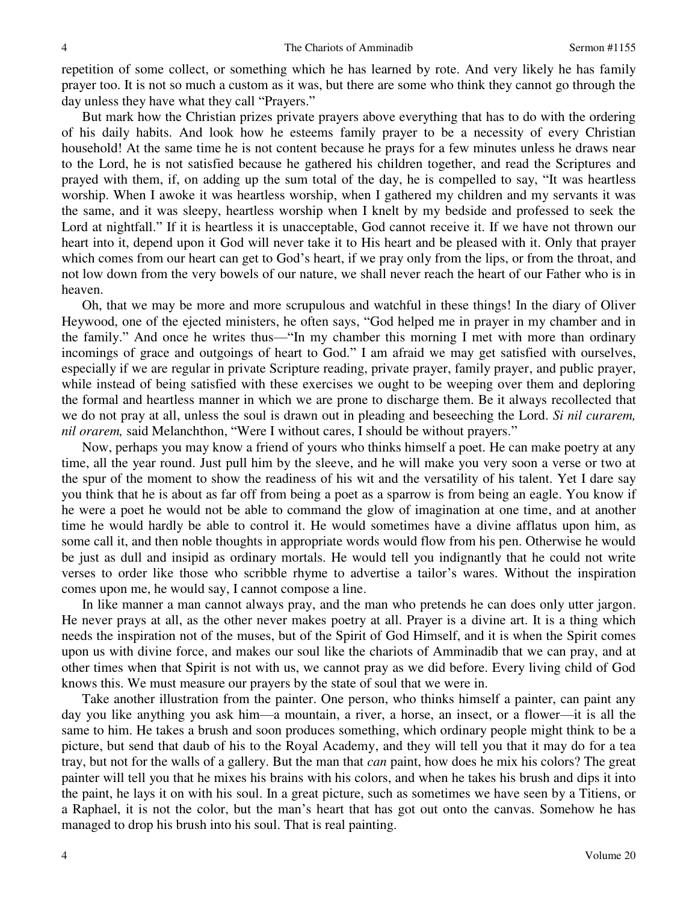repetition of some collect, or something which he has learned by rote. And very likely he has family prayer too. It is not so much a custom as it was, but there are some who think they cannot go through the day unless they have what they call "Prayers."

But mark how the Christian prizes private prayers above everything that has to do with the ordering of his daily habits. And look how he esteems family prayer to be a necessity of every Christian household! At the same time he is not content because he prays for a few minutes unless he draws near to the Lord, he is not satisfied because he gathered his children together, and read the Scriptures and prayed with them, if, on adding up the sum total of the day, he is compelled to say, "It was heartless worship. When I awoke it was heartless worship, when I gathered my children and my servants it was the same, and it was sleepy, heartless worship when I knelt by my bedside and professed to seek the Lord at nightfall." If it is heartless it is unacceptable, God cannot receive it. If we have not thrown our heart into it, depend upon it God will never take it to His heart and be pleased with it. Only that prayer which comes from our heart can get to God's heart, if we pray only from the lips, or from the throat, and not low down from the very bowels of our nature, we shall never reach the heart of our Father who is in heaven.

Oh, that we may be more and more scrupulous and watchful in these things! In the diary of Oliver Heywood, one of the ejected ministers, he often says, "God helped me in prayer in my chamber and in the family." And once he writes thus—"In my chamber this morning I met with more than ordinary incomings of grace and outgoings of heart to God." I am afraid we may get satisfied with ourselves, especially if we are regular in private Scripture reading, private prayer, family prayer, and public prayer, while instead of being satisfied with these exercises we ought to be weeping over them and deploring the formal and heartless manner in which we are prone to discharge them. Be it always recollected that we do not pray at all, unless the soul is drawn out in pleading and beseeching the Lord. *Si nil curarem, nil orarem,* said Melanchthon, "Were I without cares, I should be without prayers."

Now, perhaps you may know a friend of yours who thinks himself a poet. He can make poetry at any time, all the year round. Just pull him by the sleeve, and he will make you very soon a verse or two at the spur of the moment to show the readiness of his wit and the versatility of his talent. Yet I dare say you think that he is about as far off from being a poet as a sparrow is from being an eagle. You know if he were a poet he would not be able to command the glow of imagination at one time, and at another time he would hardly be able to control it. He would sometimes have a divine afflatus upon him, as some call it, and then noble thoughts in appropriate words would flow from his pen. Otherwise he would be just as dull and insipid as ordinary mortals. He would tell you indignantly that he could not write verses to order like those who scribble rhyme to advertise a tailor's wares. Without the inspiration comes upon me, he would say, I cannot compose a line.

In like manner a man cannot always pray, and the man who pretends he can does only utter jargon. He never prays at all, as the other never makes poetry at all. Prayer is a divine art. It is a thing which needs the inspiration not of the muses, but of the Spirit of God Himself, and it is when the Spirit comes upon us with divine force, and makes our soul like the chariots of Amminadib that we can pray, and at other times when that Spirit is not with us, we cannot pray as we did before. Every living child of God knows this. We must measure our prayers by the state of soul that we were in.

Take another illustration from the painter. One person, who thinks himself a painter, can paint any day you like anything you ask him—a mountain, a river, a horse, an insect, or a flower—it is all the same to him. He takes a brush and soon produces something, which ordinary people might think to be a picture, but send that daub of his to the Royal Academy, and they will tell you that it may do for a tea tray, but not for the walls of a gallery. But the man that *can* paint, how does he mix his colors? The great painter will tell you that he mixes his brains with his colors, and when he takes his brush and dips it into the paint, he lays it on with his soul. In a great picture, such as sometimes we have seen by a Titiens, or a Raphael, it is not the color, but the man's heart that has got out onto the canvas. Somehow he has managed to drop his brush into his soul. That is real painting.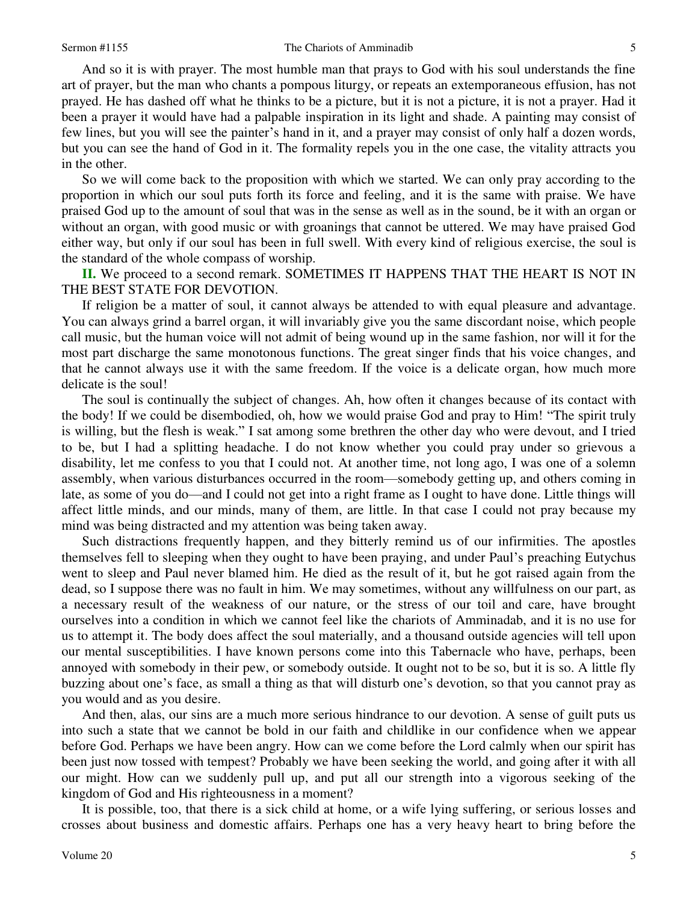And so it is with prayer. The most humble man that prays to God with his soul understands the fine art of prayer, but the man who chants a pompous liturgy, or repeats an extemporaneous effusion, has not prayed. He has dashed off what he thinks to be a picture, but it is not a picture, it is not a prayer. Had it been a prayer it would have had a palpable inspiration in its light and shade. A painting may consist of few lines, but you will see the painter's hand in it, and a prayer may consist of only half a dozen words, but you can see the hand of God in it. The formality repels you in the one case, the vitality attracts you in the other.

So we will come back to the proposition with which we started. We can only pray according to the proportion in which our soul puts forth its force and feeling, and it is the same with praise. We have praised God up to the amount of soul that was in the sense as well as in the sound, be it with an organ or without an organ, with good music or with groanings that cannot be uttered. We may have praised God either way, but only if our soul has been in full swell. With every kind of religious exercise, the soul is the standard of the whole compass of worship.

**II.** We proceed to a second remark. SOMETIMES IT HAPPENS THAT THE HEART IS NOT IN THE BEST STATE FOR DEVOTION.

If religion be a matter of soul, it cannot always be attended to with equal pleasure and advantage. You can always grind a barrel organ, it will invariably give you the same discordant noise, which people call music, but the human voice will not admit of being wound up in the same fashion, nor will it for the most part discharge the same monotonous functions. The great singer finds that his voice changes, and that he cannot always use it with the same freedom. If the voice is a delicate organ, how much more delicate is the soul!

The soul is continually the subject of changes. Ah, how often it changes because of its contact with the body! If we could be disembodied, oh, how we would praise God and pray to Him! "The spirit truly is willing, but the flesh is weak." I sat among some brethren the other day who were devout, and I tried to be, but I had a splitting headache. I do not know whether you could pray under so grievous a disability, let me confess to you that I could not. At another time, not long ago, I was one of a solemn assembly, when various disturbances occurred in the room—somebody getting up, and others coming in late, as some of you do—and I could not get into a right frame as I ought to have done. Little things will affect little minds, and our minds, many of them, are little. In that case I could not pray because my mind was being distracted and my attention was being taken away.

Such distractions frequently happen, and they bitterly remind us of our infirmities. The apostles themselves fell to sleeping when they ought to have been praying, and under Paul's preaching Eutychus went to sleep and Paul never blamed him. He died as the result of it, but he got raised again from the dead, so I suppose there was no fault in him. We may sometimes, without any willfulness on our part, as a necessary result of the weakness of our nature, or the stress of our toil and care, have brought ourselves into a condition in which we cannot feel like the chariots of Amminadab, and it is no use for us to attempt it. The body does affect the soul materially, and a thousand outside agencies will tell upon our mental susceptibilities. I have known persons come into this Tabernacle who have, perhaps, been annoyed with somebody in their pew, or somebody outside. It ought not to be so, but it is so. A little fly buzzing about one's face, as small a thing as that will disturb one's devotion, so that you cannot pray as you would and as you desire.

And then, alas, our sins are a much more serious hindrance to our devotion. A sense of guilt puts us into such a state that we cannot be bold in our faith and childlike in our confidence when we appear before God. Perhaps we have been angry. How can we come before the Lord calmly when our spirit has been just now tossed with tempest? Probably we have been seeking the world, and going after it with all our might. How can we suddenly pull up, and put all our strength into a vigorous seeking of the kingdom of God and His righteousness in a moment?

It is possible, too, that there is a sick child at home, or a wife lying suffering, or serious losses and crosses about business and domestic affairs. Perhaps one has a very heavy heart to bring before the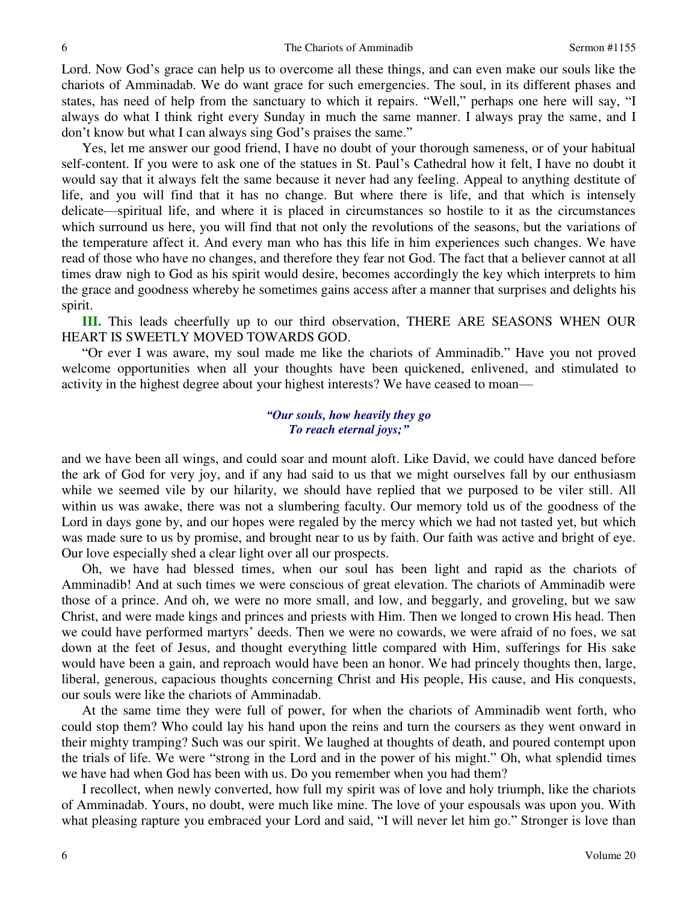Lord. Now God's grace can help us to overcome all these things, and can even make our souls like the chariots of Amminadab. We do want grace for such emergencies. The soul, in its different phases and states, has need of help from the sanctuary to which it repairs. "Well," perhaps one here will say, "I always do what I think right every Sunday in much the same manner. I always pray the same, and I don't know but what I can always sing God's praises the same."

Yes, let me answer our good friend, I have no doubt of your thorough sameness, or of your habitual self-content. If you were to ask one of the statues in St. Paul's Cathedral how it felt, I have no doubt it would say that it always felt the same because it never had any feeling. Appeal to anything destitute of life, and you will find that it has no change. But where there is life, and that which is intensely delicate—spiritual life, and where it is placed in circumstances so hostile to it as the circumstances which surround us here, you will find that not only the revolutions of the seasons, but the variations of the temperature affect it. And every man who has this life in him experiences such changes. We have read of those who have no changes, and therefore they fear not God. The fact that a believer cannot at all times draw nigh to God as his spirit would desire, becomes accordingly the key which interprets to him the grace and goodness whereby he sometimes gains access after a manner that surprises and delights his spirit.

**III.** This leads cheerfully up to our third observation, THERE ARE SEASONS WHEN OUR HEART IS SWEETLY MOVED TOWARDS GOD.

"Or ever I was aware, my soul made me like the chariots of Amminadib." Have you not proved welcome opportunities when all your thoughts have been quickened, enlivened, and stimulated to activity in the highest degree about your highest interests? We have ceased to moan—

### *"Our souls, how heavily they go To reach eternal joys;"*

and we have been all wings, and could soar and mount aloft. Like David, we could have danced before the ark of God for very joy, and if any had said to us that we might ourselves fall by our enthusiasm while we seemed vile by our hilarity, we should have replied that we purposed to be viler still. All within us was awake, there was not a slumbering faculty. Our memory told us of the goodness of the Lord in days gone by, and our hopes were regaled by the mercy which we had not tasted yet, but which was made sure to us by promise, and brought near to us by faith. Our faith was active and bright of eye. Our love especially shed a clear light over all our prospects.

 Oh, we have had blessed times, when our soul has been light and rapid as the chariots of Amminadib! And at such times we were conscious of great elevation. The chariots of Amminadib were those of a prince. And oh, we were no more small, and low, and beggarly, and groveling, but we saw Christ, and were made kings and princes and priests with Him. Then we longed to crown His head. Then we could have performed martyrs' deeds. Then we were no cowards, we were afraid of no foes, we sat down at the feet of Jesus, and thought everything little compared with Him, sufferings for His sake would have been a gain, and reproach would have been an honor. We had princely thoughts then, large, liberal, generous, capacious thoughts concerning Christ and His people, His cause, and His conquests, our souls were like the chariots of Amminadab.

 At the same time they were full of power, for when the chariots of Amminadib went forth, who could stop them? Who could lay his hand upon the reins and turn the coursers as they went onward in their mighty tramping? Such was our spirit. We laughed at thoughts of death, and poured contempt upon the trials of life. We were "strong in the Lord and in the power of his might." Oh, what splendid times we have had when God has been with us. Do you remember when you had them?

I recollect, when newly converted, how full my spirit was of love and holy triumph, like the chariots of Amminadab. Yours, no doubt, were much like mine. The love of your espousals was upon you. With what pleasing rapture you embraced your Lord and said, "I will never let him go." Stronger is love than

6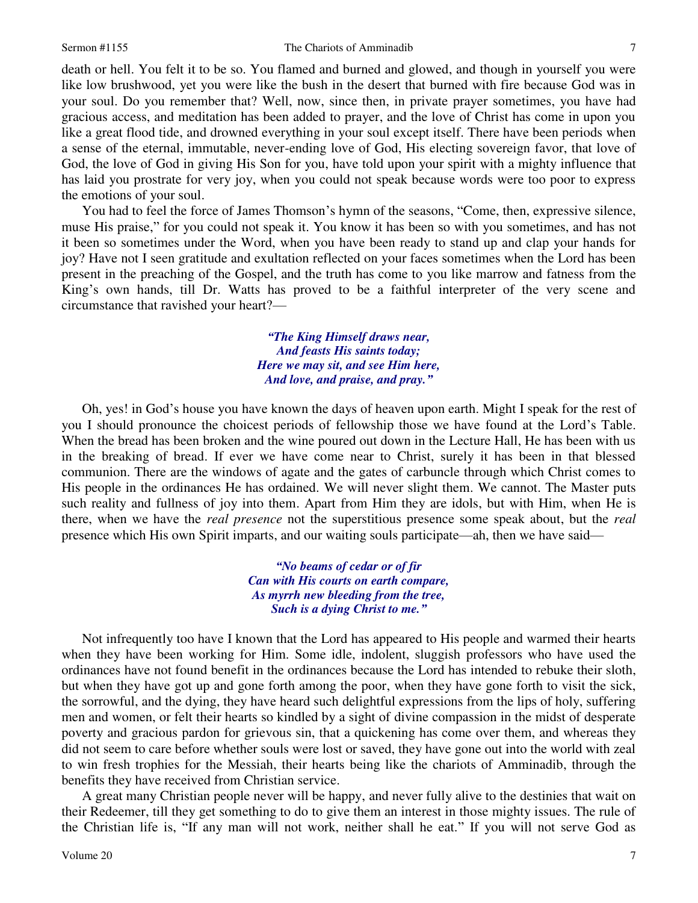#### Sermon #1155 The Chariots of Amminadib

death or hell. You felt it to be so. You flamed and burned and glowed, and though in yourself you were like low brushwood, yet you were like the bush in the desert that burned with fire because God was in your soul. Do you remember that? Well, now, since then, in private prayer sometimes, you have had gracious access, and meditation has been added to prayer, and the love of Christ has come in upon you like a great flood tide, and drowned everything in your soul except itself. There have been periods when a sense of the eternal, immutable, never-ending love of God, His electing sovereign favor, that love of God, the love of God in giving His Son for you, have told upon your spirit with a mighty influence that has laid you prostrate for very joy, when you could not speak because words were too poor to express the emotions of your soul.

 You had to feel the force of James Thomson's hymn of the seasons, "Come, then, expressive silence, muse His praise," for you could not speak it. You know it has been so with you sometimes, and has not it been so sometimes under the Word, when you have been ready to stand up and clap your hands for joy? Have not I seen gratitude and exultation reflected on your faces sometimes when the Lord has been present in the preaching of the Gospel, and the truth has come to you like marrow and fatness from the King's own hands, till Dr. Watts has proved to be a faithful interpreter of the very scene and circumstance that ravished your heart?—

> *"The King Himself draws near, And feasts His saints today; Here we may sit, and see Him here, And love, and praise, and pray."*

 Oh, yes! in God's house you have known the days of heaven upon earth. Might I speak for the rest of you I should pronounce the choicest periods of fellowship those we have found at the Lord's Table. When the bread has been broken and the wine poured out down in the Lecture Hall, He has been with us in the breaking of bread. If ever we have come near to Christ, surely it has been in that blessed communion. There are the windows of agate and the gates of carbuncle through which Christ comes to His people in the ordinances He has ordained. We will never slight them. We cannot. The Master puts such reality and fullness of joy into them. Apart from Him they are idols, but with Him, when He is there, when we have the *real presence* not the superstitious presence some speak about, but the *real*  presence which His own Spirit imparts, and our waiting souls participate—ah, then we have said—

> *"No beams of cedar or of fir Can with His courts on earth compare, As myrrh new bleeding from the tree, Such is a dying Christ to me."*

Not infrequently too have I known that the Lord has appeared to His people and warmed their hearts when they have been working for Him. Some idle, indolent, sluggish professors who have used the ordinances have not found benefit in the ordinances because the Lord has intended to rebuke their sloth, but when they have got up and gone forth among the poor, when they have gone forth to visit the sick, the sorrowful, and the dying, they have heard such delightful expressions from the lips of holy, suffering men and women, or felt their hearts so kindled by a sight of divine compassion in the midst of desperate poverty and gracious pardon for grievous sin, that a quickening has come over them, and whereas they did not seem to care before whether souls were lost or saved, they have gone out into the world with zeal to win fresh trophies for the Messiah, their hearts being like the chariots of Amminadib, through the benefits they have received from Christian service.

A great many Christian people never will be happy, and never fully alive to the destinies that wait on their Redeemer, till they get something to do to give them an interest in those mighty issues. The rule of the Christian life is, "If any man will not work, neither shall he eat." If you will not serve God as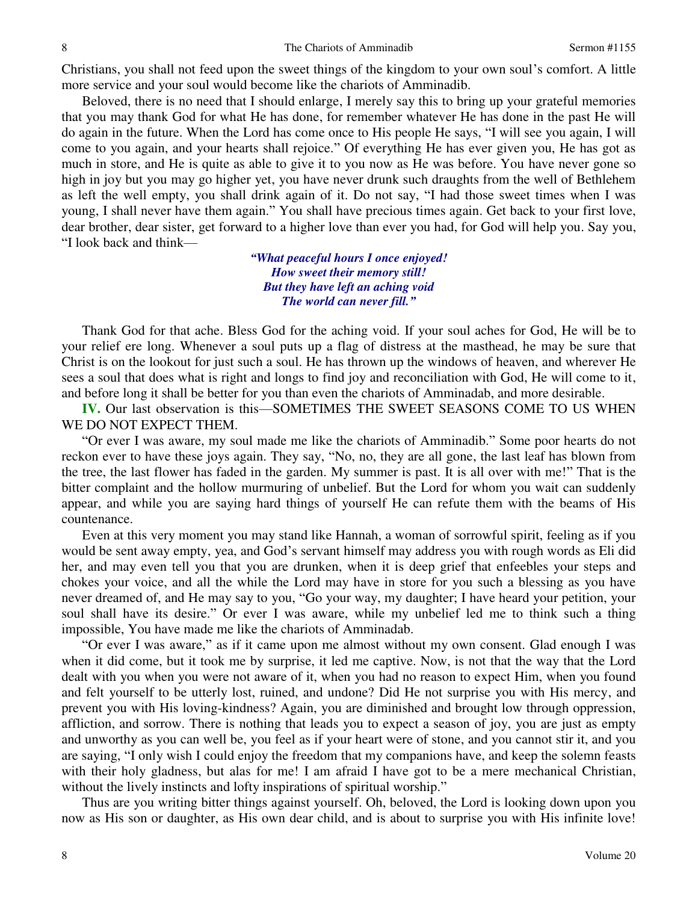Christians, you shall not feed upon the sweet things of the kingdom to your own soul's comfort. A little more service and your soul would become like the chariots of Amminadib.

Beloved, there is no need that I should enlarge, I merely say this to bring up your grateful memories that you may thank God for what He has done, for remember whatever He has done in the past He will do again in the future. When the Lord has come once to His people He says, "I will see you again, I will come to you again, and your hearts shall rejoice." Of everything He has ever given you, He has got as much in store, and He is quite as able to give it to you now as He was before. You have never gone so high in joy but you may go higher yet, you have never drunk such draughts from the well of Bethlehem as left the well empty, you shall drink again of it. Do not say, "I had those sweet times when I was young, I shall never have them again." You shall have precious times again. Get back to your first love, dear brother, dear sister, get forward to a higher love than ever you had, for God will help you. Say you, "I look back and think—

> *"What peaceful hours I once enjoyed! How sweet their memory still! But they have left an aching void The world can never fill."*

 Thank God for that ache. Bless God for the aching void. If your soul aches for God, He will be to your relief ere long. Whenever a soul puts up a flag of distress at the masthead, he may be sure that Christ is on the lookout for just such a soul. He has thrown up the windows of heaven, and wherever He sees a soul that does what is right and longs to find joy and reconciliation with God, He will come to it, and before long it shall be better for you than even the chariots of Amminadab, and more desirable.

**IV.** Our last observation is this—SOMETIMES THE SWEET SEASONS COME TO US WHEN WE DO NOT EXPECT THEM.

"Or ever I was aware, my soul made me like the chariots of Amminadib." Some poor hearts do not reckon ever to have these joys again. They say, "No, no, they are all gone, the last leaf has blown from the tree, the last flower has faded in the garden. My summer is past. It is all over with me!" That is the bitter complaint and the hollow murmuring of unbelief. But the Lord for whom you wait can suddenly appear, and while you are saying hard things of yourself He can refute them with the beams of His countenance.

Even at this very moment you may stand like Hannah, a woman of sorrowful spirit, feeling as if you would be sent away empty, yea, and God's servant himself may address you with rough words as Eli did her, and may even tell you that you are drunken, when it is deep grief that enfeebles your steps and chokes your voice, and all the while the Lord may have in store for you such a blessing as you have never dreamed of, and He may say to you, "Go your way, my daughter; I have heard your petition, your soul shall have its desire." Or ever I was aware, while my unbelief led me to think such a thing impossible, You have made me like the chariots of Amminadab.

"Or ever I was aware," as if it came upon me almost without my own consent. Glad enough I was when it did come, but it took me by surprise, it led me captive. Now, is not that the way that the Lord dealt with you when you were not aware of it, when you had no reason to expect Him, when you found and felt yourself to be utterly lost, ruined, and undone? Did He not surprise you with His mercy, and prevent you with His loving-kindness? Again, you are diminished and brought low through oppression, affliction, and sorrow. There is nothing that leads you to expect a season of joy, you are just as empty and unworthy as you can well be, you feel as if your heart were of stone, and you cannot stir it, and you are saying, "I only wish I could enjoy the freedom that my companions have, and keep the solemn feasts with their holy gladness, but alas for me! I am afraid I have got to be a mere mechanical Christian, without the lively instincts and lofty inspirations of spiritual worship."

Thus are you writing bitter things against yourself. Oh, beloved, the Lord is looking down upon you now as His son or daughter, as His own dear child, and is about to surprise you with His infinite love!